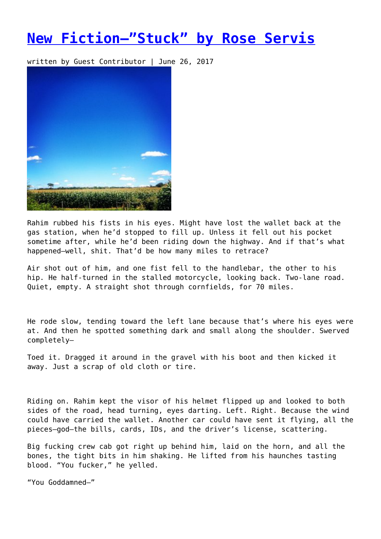## **[New Fiction—"Stuck" by Rose Servis](https://entropymag.org/new-fiction-stuck-by-rose-servis/)**

written by Guest Contributor | June 26, 2017



Rahim rubbed his fists in his eyes. Might have lost the wallet back at the gas station, when he'd stopped to fill up. Unless it fell out his pocket sometime after, while he'd been riding down the highway. And if that's what happened—well, shit. That'd be how many miles to retrace?

Air shot out of him, and one fist fell to the handlebar, the other to his hip. He half-turned in the stalled motorcycle, looking back. Two-lane road. Quiet, empty. A straight shot through cornfields, for 70 miles.

He rode slow, tending toward the left lane because that's where his eyes were at. And then he spotted something dark and small along the shoulder. Swerved completely—

Toed it. Dragged it around in the gravel with his boot and then kicked it away. Just a scrap of old cloth or tire.

Riding on. Rahim kept the visor of his helmet flipped up and looked to both sides of the road, head turning, eyes darting. Left. Right. Because the wind could have carried the wallet. Another car could have sent it flying, all the pieces—god—the bills, cards, IDs, and the driver's license, scattering.

Big fucking crew cab got right up behind him, laid on the horn, and all the bones, the tight bits in him shaking. He lifted from his haunches tasting blood. "You fucker," he yelled.

"You Goddamned—"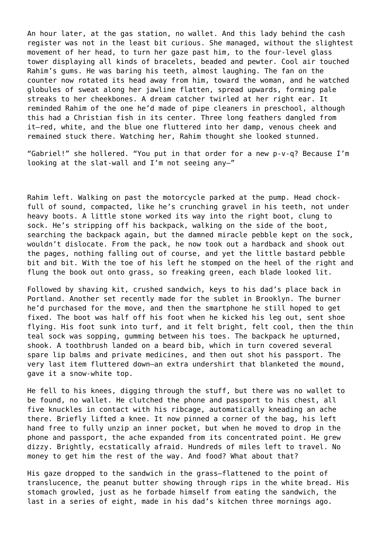An hour later, at the gas station, no wallet. And this lady behind the cash register was not in the least bit curious. She managed, without the slightest movement of her head, to turn her gaze past him, to the four-level glass tower displaying all kinds of bracelets, beaded and pewter. Cool air touched Rahim's gums. He was baring his teeth, almost laughing. The fan on the counter now rotated its head away from him, toward the woman, and he watched globules of sweat along her jawline flatten, spread upwards, forming pale streaks to her cheekbones. A dream catcher twirled at her right ear. It reminded Rahim of the one he'd made of pipe cleaners in preschool, although this had a Christian fish in its center. Three long feathers dangled from it—red, white, and the blue one fluttered into her damp, venous cheek and remained stuck there. Watching her, Rahim thought she looked stunned.

"Gabriel!" she hollered. "You put in that order for a new p-v-q? Because I'm looking at the slat-wall and I'm not seeing any—"

Rahim left. Walking on past the motorcycle parked at the pump. Head chockfull of sound, compacted, like he's crunching gravel in his teeth, not under heavy boots. A little stone worked its way into the right boot, clung to sock. He's stripping off his backpack, walking on the side of the boot, searching the backpack again, but the damned miracle pebble kept on the sock, wouldn't dislocate. From the pack, he now took out a hardback and shook out the pages, nothing falling out of course, and yet the little bastard pebble bit and bit. With the toe of his left he stomped on the heel of the right and flung the book out onto grass, so freaking green, each blade looked lit.

Followed by shaving kit, crushed sandwich, keys to his dad's place back in Portland. Another set recently made for the sublet in Brooklyn. The burner he'd purchased for the move, and then the smartphone he still hoped to get fixed. The boot was half off his foot when he kicked his leg out, sent shoe flying. His foot sunk into turf, and it felt bright, felt cool, then the thin teal sock was sopping, gumming between his toes. The backpack he upturned, shook. A toothbrush landed on a beard bib, which in turn covered several spare lip balms and private medicines, and then out shot his passport. The very last item fluttered down—an extra undershirt that blanketed the mound, gave it a snow-white top.

He fell to his knees, digging through the stuff, but there was no wallet to be found, no wallet. He clutched the phone and passport to his chest, all five knuckles in contact with his ribcage, automatically kneading an ache there. Briefly lifted a knee. It now pinned a corner of the bag, his left hand free to fully unzip an inner pocket, but when he moved to drop in the phone and passport, the ache expanded from its concentrated point. He grew dizzy. Brightly, ecstatically afraid. Hundreds of miles left to travel. No money to get him the rest of the way. And food? What about that?

His gaze dropped to the sandwich in the grass—flattened to the point of translucence, the peanut butter showing through rips in the white bread. His stomach growled, just as he forbade himself from eating the sandwich, the last in a series of eight, made in his dad's kitchen three mornings ago.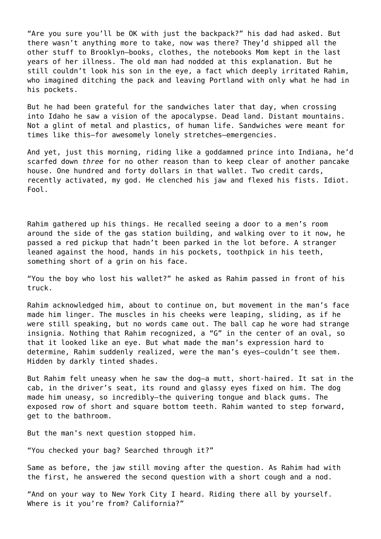"Are you sure you'll be OK with just the backpack?" his dad had asked. But there wasn't anything more to take, now was there? They'd shipped all the other stuff to Brooklyn—books, clothes, the notebooks Mom kept in the last years of her illness. The old man had nodded at this explanation. But he still couldn't look his son in the eye, a fact which deeply irritated Rahim, who imagined ditching the pack and leaving Portland with only what he had in his pockets.

But he had been grateful for the sandwiches later that day, when crossing into Idaho he saw a vision of the apocalypse. Dead land. Distant mountains. Not a glint of metal and plastics, of human life. Sandwiches were meant for times like this—for awesomely lonely stretches—emergencies.

And yet, just this morning, riding like a goddamned prince into Indiana, he'd scarfed down *three* for no other reason than to keep clear of another pancake house. One hundred and forty dollars in that wallet. Two credit cards, recently activated, my god. He clenched his jaw and flexed his fists. Idiot. Fool.

Rahim gathered up his things. He recalled seeing a door to a men's room around the side of the gas station building, and walking over to it now, he passed a red pickup that hadn't been parked in the lot before. A stranger leaned against the hood, hands in his pockets, toothpick in his teeth, something short of a grin on his face.

"You the boy who lost his wallet?" he asked as Rahim passed in front of his truck.

Rahim acknowledged him, about to continue on, but movement in the man's face made him linger. The muscles in his cheeks were leaping, sliding, as if he were still speaking, but no words came out. The ball cap he wore had strange insignia. Nothing that Rahim recognized, a "G" in the center of an oval, so that it looked like an eye. But what made the man's expression hard to determine, Rahim suddenly realized, were the man's eyes—couldn't see them. Hidden by darkly tinted shades.

But Rahim felt uneasy when he saw the dog—a mutt, short-haired. It sat in the cab, in the driver's seat, its round and glassy eyes fixed on him. The dog made him uneasy, so incredibly—the quivering tongue and black gums. The exposed row of short and square bottom teeth. Rahim wanted to step forward, get to the bathroom.

But the man's next question stopped him.

"You checked your bag? Searched through it?"

Same as before, the jaw still moving after the question. As Rahim had with the first, he answered the second question with a short cough and a nod.

"And on your way to New York City I heard. Riding there all by yourself. Where is it you're from? California?"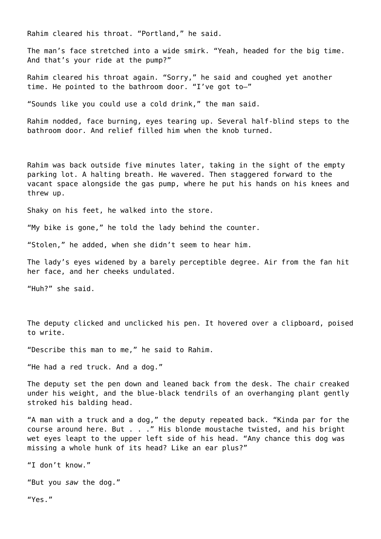Rahim cleared his throat. "Portland," he said.

The man's face stretched into a wide smirk. "Yeah, headed for the big time. And that's your ride at the pump?"

Rahim cleared his throat again. "Sorry," he said and coughed yet another time. He pointed to the bathroom door. "I've got to—"

"Sounds like you could use a cold drink," the man said.

Rahim nodded, face burning, eyes tearing up. Several half-blind steps to the bathroom door. And relief filled him when the knob turned.

Rahim was back outside five minutes later, taking in the sight of the empty parking lot. A halting breath. He wavered. Then staggered forward to the vacant space alongside the gas pump, where he put his hands on his knees and threw up.

Shaky on his feet, he walked into the store.

"My bike is gone," he told the lady behind the counter.

"Stolen," he added, when she didn't seem to hear him.

The lady's eyes widened by a barely perceptible degree. Air from the fan hit her face, and her cheeks undulated.

"Huh?" she said.

The deputy clicked and unclicked his pen. It hovered over a clipboard, poised to write.

"Describe this man to me," he said to Rahim.

"He had a red truck. And a dog."

The deputy set the pen down and leaned back from the desk. The chair creaked under his weight, and the blue-black tendrils of an overhanging plant gently stroked his balding head.

"A man with a truck and a dog," the deputy repeated back. "Kinda par for the course around here. But . . ." His blonde moustache twisted, and his bright wet eyes leapt to the upper left side of his head. "Any chance this dog was missing a whole hunk of its head? Like an ear plus?"

"I don't know."

"But you *saw* the dog."

"Yes."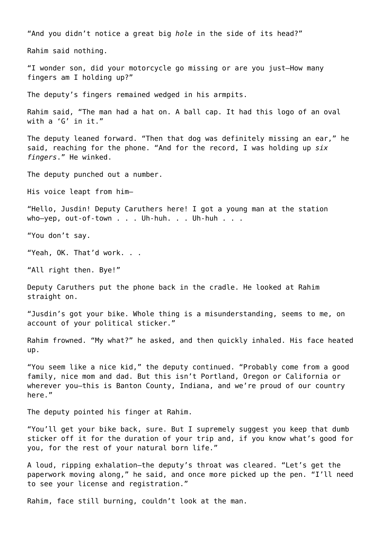"And you didn't notice a great big *hole* in the side of its head?" Rahim said nothing. "I wonder son, did your motorcycle go missing or are you just—How many fingers am I holding up?" The deputy's fingers remained wedged in his armpits. Rahim said, "The man had a hat on. A ball cap. It had this logo of an oval with a 'G' in it." The deputy leaned forward. "Then that dog was definitely missing an ear," he said, reaching for the phone. "And for the record, I was holding up *six fingers*." He winked. The deputy punched out a number. His voice leapt from him— "Hello, Jusdin! Deputy Caruthers here! I got a young man at the station who-yep, out-of-town . . . Uh-huh. . . Uh-huh . . . "You don't say. "Yeah, OK. That'd work. . . "All right then. Bye!" Deputy Caruthers put the phone back in the cradle. He looked at Rahim straight on. "Jusdin's got your bike. Whole thing is a misunderstanding, seems to me, on account of your political sticker." Rahim frowned. "My what?" he asked, and then quickly inhaled. His face heated up. "You seem like a nice kid," the deputy continued. "Probably come from a good family, nice mom and dad. But this isn't Portland, Oregon or California or wherever you-this is Banton County, Indiana, and we're proud of our country here." The deputy pointed his finger at Rahim.

"You'll get your bike back, sure. But I supremely suggest you keep that dumb sticker off it for the duration of your trip and, if you know what's good for you, for the rest of your natural born life."

A loud, ripping exhalation—the deputy's throat was cleared. "Let's get the paperwork moving along," he said, and once more picked up the pen. "I'll need to see your license and registration."

Rahim, face still burning, couldn't look at the man.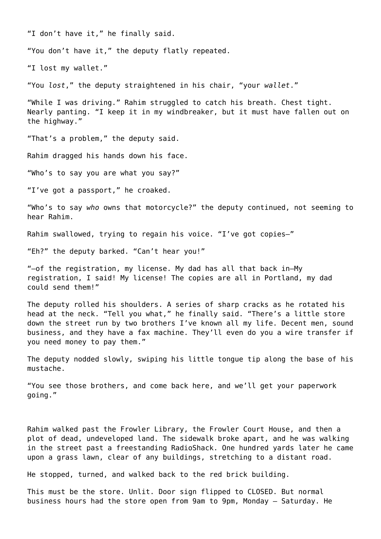"I don't have it," he finally said.

"You don't have it," the deputy flatly repeated.

"I lost my wallet."

"You *lost*," the deputy straightened in his chair, "your *wallet*."

"While I was driving." Rahim struggled to catch his breath. Chest tight. Nearly panting. "I keep it in my windbreaker, but it must have fallen out on the highway."

"That's a problem," the deputy said.

Rahim dragged his hands down his face.

"Who's to say you are what you say?"

"I've got a passport," he croaked.

"Who's to say *who* owns that motorcycle?" the deputy continued, not seeming to hear Rahim.

Rahim swallowed, trying to regain his voice. "I've got copies—"

"Eh?" the deputy barked. "Can't hear you!"

"—of the registration, my license. My dad has all that back in—My registration, I said! My license! The copies are all in Portland, my dad could send them!"

The deputy rolled his shoulders. A series of sharp cracks as he rotated his head at the neck. "Tell you what," he finally said. "There's a little store down the street run by two brothers I've known all my life. Decent men, sound business, and they have a fax machine. They'll even do you a wire transfer if you need money to pay them."

The deputy nodded slowly, swiping his little tongue tip along the base of his mustache.

"You see those brothers, and come back here, and we'll get your paperwork going."

Rahim walked past the Frowler Library, the Frowler Court House, and then a plot of dead, undeveloped land. The sidewalk broke apart, and he was walking in the street past a freestanding RadioShack. One hundred yards later he came upon a grass lawn, clear of any buildings, stretching to a distant road.

He stopped, turned, and walked back to the red brick building.

This must be the store. Unlit. Door sign flipped to CLOSED. But normal business hours had the store open from 9am to 9pm, Monday – Saturday. He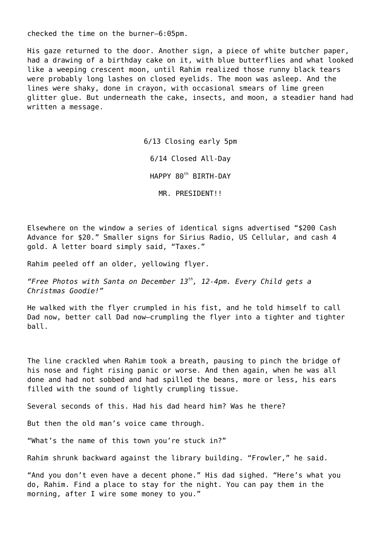checked the time on the burner—6:05pm.

His gaze returned to the door. Another sign, a piece of white butcher paper, had a drawing of a birthday cake on it, with blue butterflies and what looked like a weeping crescent moon, until Rahim realized those runny black tears were probably long lashes on closed eyelids. The moon was asleep. And the lines were shaky, done in crayon, with occasional smears of lime green glitter glue. But underneath the cake, insects, and moon, a steadier hand had written a message.

> 6/13 Closing early 5pm 6/14 Closed All-Day HAPPY 80th BIRTH-DAY

> > MR. PRESIDENT!!

Elsewhere on the window a series of identical signs advertised "\$200 Cash Advance for \$20." Smaller signs for Sirius Radio, US Cellular, and cash 4 gold. A letter board simply said, "Taxes."

Rahim peeled off an older, yellowing flyer.

*"Free Photos with Santa on December 13th, 12-4pm. Every Child gets a Christmas Goodie!"*

He walked with the flyer crumpled in his fist, and he told himself to call Dad now, better call Dad now—crumpling the flyer into a tighter and tighter ball.

The line crackled when Rahim took a breath, pausing to pinch the bridge of his nose and fight rising panic or worse. And then again, when he was all done and had not sobbed and had spilled the beans, more or less, his ears filled with the sound of lightly crumpling tissue.

Several seconds of this. Had his dad heard him? Was he there?

But then the old man's voice came through.

"What's the name of this town you're stuck in?"

Rahim shrunk backward against the library building. "Frowler," he said.

"And you don't even have a decent phone." His dad sighed. "Here's what you do, Rahim. Find a place to stay for the night. You can pay them in the morning, after I wire some money to you."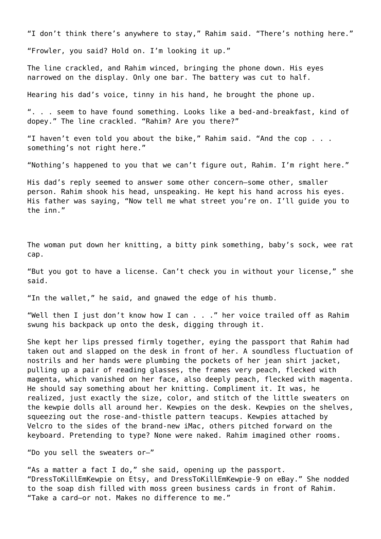"I don't think there's anywhere to stay," Rahim said. "There's nothing here."

"Frowler, you said? Hold on. I'm looking it up."

The line crackled, and Rahim winced, bringing the phone down. His eyes narrowed on the display. Only one bar. The battery was cut to half.

Hearing his dad's voice, tinny in his hand, he brought the phone up.

". . . seem to have found something. Looks like a bed-and-breakfast, kind of dopey." The line crackled. "Rahim? Are you there?"

"I haven't even told you about the bike," Rahim said. "And the cop . . . something's not right here."

"Nothing's happened to you that we can't figure out, Rahim. I'm right here."

His dad's reply seemed to answer some other concern—some other, smaller person. Rahim shook his head, unspeaking. He kept his hand across his eyes. His father was saying, "Now tell me what street you're on. I'll guide you to the inn."

The woman put down her knitting, a bitty pink something, baby's sock, wee rat cap.

"But you got to have a license. Can't check you in without your license," she said.

"In the wallet," he said, and gnawed the edge of his thumb.

"Well then I just don't know how I can . . ." her voice trailed off as Rahim swung his backpack up onto the desk, digging through it.

She kept her lips pressed firmly together, eying the passport that Rahim had taken out and slapped on the desk in front of her. A soundless fluctuation of nostrils and her hands were plumbing the pockets of her jean shirt jacket, pulling up a pair of reading glasses, the frames very peach, flecked with magenta, which vanished on her face, also deeply peach, flecked with magenta. He should say something about her knitting. Compliment it. It was, he realized, just exactly the size, color, and stitch of the little sweaters on the kewpie dolls all around her. Kewpies on the desk. Kewpies on the shelves, squeezing out the rose-and-thistle pattern teacups. Kewpies attached by Velcro to the sides of the brand-new iMac, others pitched forward on the keyboard. Pretending to type? None were naked. Rahim imagined other rooms.

"Do you sell the sweaters or—"

"As a matter a fact I do," she said, opening up the passport. "DressToKillEmKewpie on Etsy, and DressToKillEmKewpie-9 on eBay." She nodded to the soap dish filled with moss green business cards in front of Rahim. "Take a card—or not. Makes no difference to me."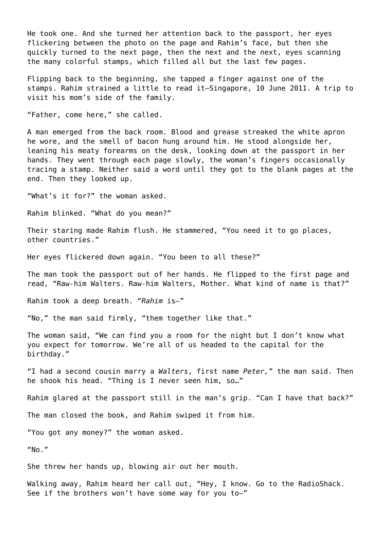He took one. And she turned her attention back to the passport, her eyes flickering between the photo on the page and Rahim's face, but then she quickly turned to the next page, then the next and the next, eyes scanning the many colorful stamps, which filled all but the last few pages.

Flipping back to the beginning, she tapped a finger against one of the stamps. Rahim strained a little to read it—Singapore, 10 June 2011. A trip to visit his mom's side of the family.

"Father, come here," she called.

A man emerged from the back room. Blood and grease streaked the white apron he wore, and the smell of bacon hung around him. He stood alongside her, leaning his meaty forearms on the desk, looking down at the passport in her hands. They went through each page slowly, the woman's fingers occasionally tracing a stamp. Neither said a word until they got to the blank pages at the end. Then they looked up.

"What's it for?" the woman asked.

Rahim blinked. "What do you mean?"

Their staring made Rahim flush. He stammered, "You need it to go places, other countries."

Her eyes flickered down again. "You been to all these?"

The man took the passport out of her hands. He flipped to the first page and read, "Raw-him Walters. Raw-him Walters*,* Mother. What kind of name is that?"

Rahim took a deep breath. "*Rahim* is—"

"No," the man said firmly, "them together like that."

The woman said, "We can find you a room for the night but I don't know what you expect for tomorrow. We're all of us headed to the capital for the birthday."

"I had a second cousin marry a *Walters*, first name *Peter,*" the man said. Then he shook his head. "Thing is I never seen him, so…"

Rahim glared at the passport still in the man's grip. "Can I have that back?"

The man closed the book, and Rahim swiped it from him.

"You got any money?" the woman asked.

 $''$ No."

She threw her hands up, blowing air out her mouth.

Walking away, Rahim heard her call out, "Hey, I know. Go to the RadioShack. See if the brothers won't have some way for you to—"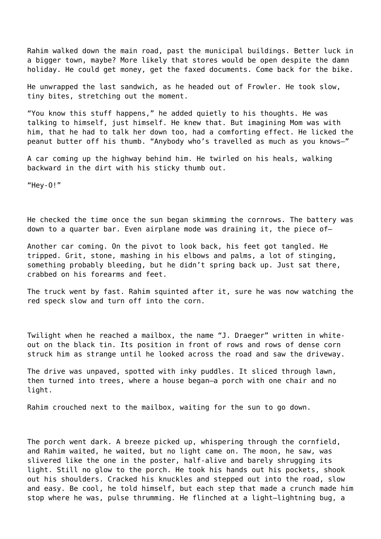Rahim walked down the main road, past the municipal buildings. Better luck in a bigger town, maybe? More likely that stores would be open despite the damn holiday. He could get money, get the faxed documents. Come back for the bike.

He unwrapped the last sandwich, as he headed out of Frowler. He took slow, tiny bites, stretching out the moment.

"You know this stuff happens," he added quietly to his thoughts. He was talking to himself, just himself. He knew that. But imagining Mom was with him, that he had to talk her down too, had a comforting effect. He licked the peanut butter off his thumb. "Anybody who's travelled as much as you knows—"

A car coming up the highway behind him. He twirled on his heals, walking backward in the dirt with his sticky thumb out.

"Hey-O!"

He checked the time once the sun began skimming the cornrows. The battery was down to a quarter bar. Even airplane mode was draining it, the piece of—

Another car coming. On the pivot to look back, his feet got tangled. He tripped. Grit, stone, mashing in his elbows and palms, a lot of stinging, something probably bleeding, but he didn't spring back up. Just sat there, crabbed on his forearms and feet.

The truck went by fast. Rahim squinted after it, sure he was now watching the red speck slow and turn off into the corn.

Twilight when he reached a mailbox, the name "J. Draeger" written in whiteout on the black tin. Its position in front of rows and rows of dense corn struck him as strange until he looked across the road and saw the driveway.

The drive was unpaved, spotted with inky puddles. It sliced through lawn, then turned into trees, where a house began—a porch with one chair and no light.

Rahim crouched next to the mailbox, waiting for the sun to go down.

The porch went dark. A breeze picked up, whispering through the cornfield, and Rahim waited, he waited, but no light came on. The moon, he saw, was slivered like the one in the poster, half-alive and barely shrugging its light. Still no glow to the porch. He took his hands out his pockets, shook out his shoulders. Cracked his knuckles and stepped out into the road, slow and easy. Be cool, he told himself, but each step that made a crunch made him stop where he was, pulse thrumming. He flinched at a light—lightning bug, a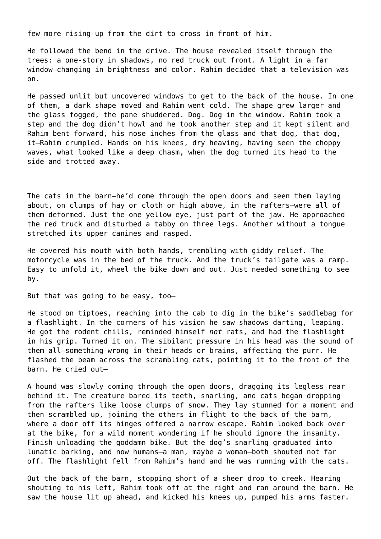few more rising up from the dirt to cross in front of him.

He followed the bend in the drive. The house revealed itself through the trees: a one-story in shadows, no red truck out front. A light in a far window—changing in brightness and color. Rahim decided that a television was on.

He passed unlit but uncovered windows to get to the back of the house. In one of them, a dark shape moved and Rahim went cold. The shape grew larger and the glass fogged, the pane shuddered. Dog. Dog in the window. Rahim took a step and the dog didn't howl and he took another step and it kept silent and Rahim bent forward, his nose inches from the glass and that dog, that dog, it—Rahim crumpled. Hands on his knees, dry heaving, having seen the choppy waves, what looked like a deep chasm, when the dog turned its head to the side and trotted away.

The cats in the barn—he'd come through the open doors and seen them laying about, on clumps of hay or cloth or high above, in the rafters—were all of them deformed. Just the one yellow eye, just part of the jaw. He approached the red truck and disturbed a tabby on three legs. Another without a tongue stretched its upper canines and rasped.

He covered his mouth with both hands, trembling with giddy relief. The motorcycle was in the bed of the truck. And the truck's tailgate was a ramp. Easy to unfold it, wheel the bike down and out. Just needed something to see by.

But that was going to be easy, too—

He stood on tiptoes, reaching into the cab to dig in the bike's saddlebag for a flashlight. In the corners of his vision he saw shadows darting, leaping. He got the rodent chills, reminded himself *not* rats, and had the flashlight in his grip. Turned it on. The sibilant pressure in his head was the sound of them all—something wrong in their heads or brains, affecting the purr. He flashed the beam across the scrambling cats, pointing it to the front of the barn. He cried out—

A hound was slowly coming through the open doors, dragging its legless rear behind it. The creature bared its teeth, snarling, and cats began dropping from the rafters like loose clumps of snow. They lay stunned for a moment and then scrambled up, joining the others in flight to the back of the barn, where a door off its hinges offered a narrow escape. Rahim looked back over at the bike, for a wild moment wondering if he should ignore the insanity. Finish unloading the goddamn bike. But the dog's snarling graduated into lunatic barking, and now humans—a man, maybe a woman—both shouted not far off. The flashlight fell from Rahim's hand and he was running with the cats.

Out the back of the barn, stopping short of a sheer drop to creek. Hearing shouting to his left, Rahim took off at the right and ran around the barn. He saw the house lit up ahead, and kicked his knees up, pumped his arms faster.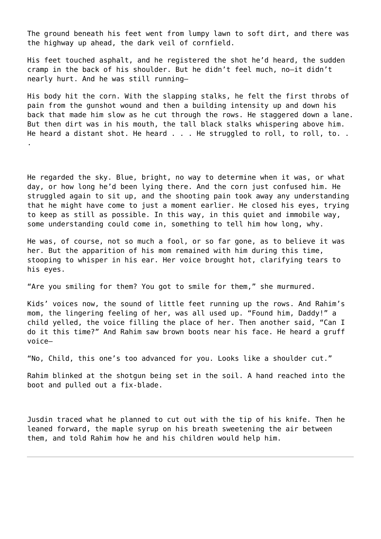The ground beneath his feet went from lumpy lawn to soft dirt, and there was the highway up ahead, the dark veil of cornfield.

His feet touched asphalt, and he registered the shot he'd heard, the sudden cramp in the back of his shoulder. But he didn't feel much, no—it didn't nearly hurt. And he was still running—

His body hit the corn. With the slapping stalks, he felt the first throbs of pain from the gunshot wound and then a building intensity up and down his back that made him slow as he cut through the rows. He staggered down a lane. But then dirt was in his mouth, the tall black stalks whispering above him. He heard a distant shot. He heard . . . He struggled to roll, to roll, to. .

.

He regarded the sky. Blue, bright, no way to determine when it was, or what day, or how long he'd been lying there. And the corn just confused him. He struggled again to sit up, and the shooting pain took away any understanding that he might have come to just a moment earlier. He closed his eyes, trying to keep as still as possible. In this way, in this quiet and immobile way, some understanding could come in, something to tell him how long, why.

He was, of course, not so much a fool, or so far gone, as to believe it was her. But the apparition of his mom remained with him during this time, stooping to whisper in his ear. Her voice brought hot, clarifying tears to his eyes.

"Are you smiling for them? You got to smile for them," she murmured.

Kids' voices now, the sound of little feet running up the rows. And Rahim's mom, the lingering feeling of her, was all used up. "Found him, Daddy!" a child yelled, the voice filling the place of her. Then another said, "Can I do it this time?" And Rahim saw brown boots near his face. He heard a gruff voice—

"No, Child, this one's too advanced for you. Looks like a shoulder cut."

Rahim blinked at the shotgun being set in the soil. A hand reached into the boot and pulled out a fix-blade.

Jusdin traced what he planned to cut out with the tip of his knife. Then he leaned forward, the maple syrup on his breath sweetening the air between them, and told Rahim how he and his children would help him.